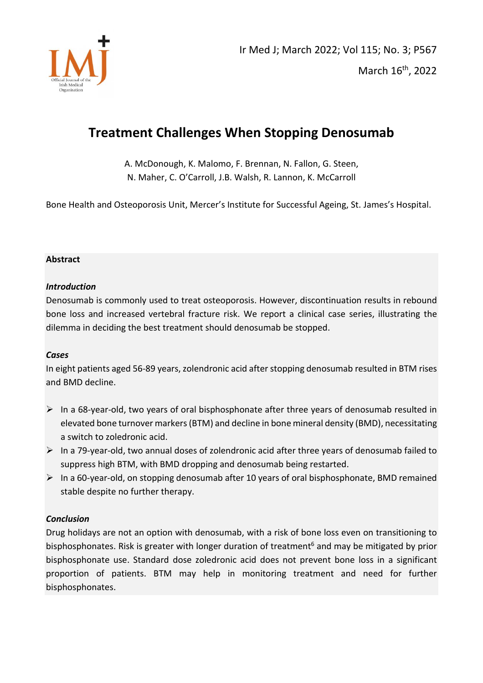

# **Treatment Challenges When Stopping Denosumab**

A. McDonough, K. Malomo, F. Brennan, N. Fallon, G. Steen, N. Maher, C. O'Carroll, J.B. Walsh, R. Lannon, K. McCarroll

Bone Health and Osteoporosis Unit, Mercer's Institute for Successful Ageing, St. James's Hospital.

### **Abstract**

### *Introduction*

Denosumab is commonly used to treat osteoporosis. However, discontinuation results in rebound bone loss and increased vertebral fracture risk. We report a clinical case series, illustrating the dilemma in deciding the best treatment should denosumab be stopped.

# *Cases*

In eight patients aged 56-89 years, zolendronic acid after stopping denosumab resulted in BTM rises and BMD decline.

- $\triangleright$  In a 68-year-old, two years of oral bisphosphonate after three years of denosumab resulted in elevated bone turnover markers (BTM) and decline in bone mineral density (BMD), necessitating a switch to zoledronic acid.
- ➢ In a 79-year-old, two annual doses of zolendronic acid after three years of denosumab failed to suppress high BTM, with BMD dropping and denosumab being restarted.
- $\triangleright$  In a 60-year-old, on stopping denosumab after 10 years of oral bisphosphonate, BMD remained stable despite no further therapy.

# *Conclusion*

Drug holidays are not an option with denosumab, with a risk of bone loss even on transitioning to bisphosphonates. Risk is greater with longer duration of treatment<sup>6</sup> and may be mitigated by prior bisphosphonate use. Standard dose zoledronic acid does not prevent bone loss in a significant proportion of patients. BTM may help in monitoring treatment and need for further bisphosphonates.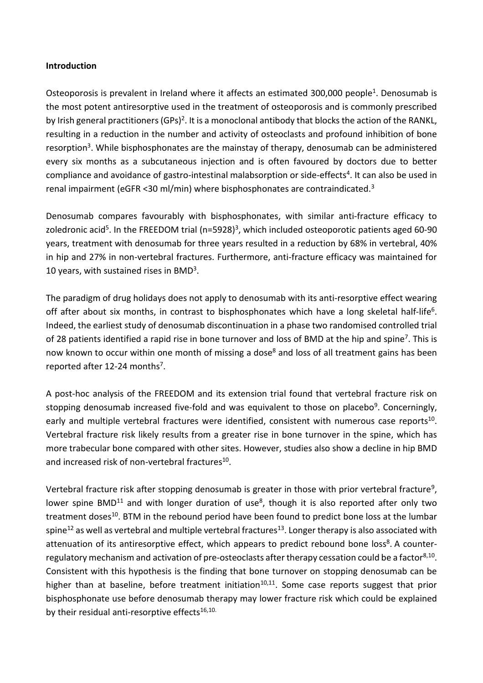# **Introduction**

Osteoporosis is prevalent in Ireland where it affects an estimated 300,000 people<sup>1</sup>. Denosumab is the most potent antiresorptive used in the treatment of osteoporosis and is commonly prescribed by Irish general practitioners (GPs)<sup>2</sup>. It is a monoclonal antibody that blocks the action of the RANKL, resulting in a reduction in the number and activity of osteoclasts and profound inhibition of bone resorption<sup>3</sup>. While bisphosphonates are the mainstay of therapy, denosumab can be administered every six months as a subcutaneous injection and is often favoured by doctors due to better compliance and avoidance of gastro-intestinal malabsorption or side-effects 4 . It can also be used in renal impairment (eGFR <30 ml/min) where bisphosphonates are contraindicated.<sup>3</sup>

Denosumab compares favourably with bisphosphonates, with similar anti-fracture efficacy to zoledronic acid<sup>5</sup>. In the FREEDOM trial (n=5928)<sup>3</sup>, which included osteoporotic patients aged 60-90 years, treatment with denosumab for three years resulted in a reduction by 68% in vertebral, 40% in hip and 27% in non-vertebral fractures. Furthermore, anti-fracture efficacy was maintained for 10 years, with sustained rises in BMD<sup>3</sup>.

The paradigm of drug holidays does not apply to denosumab with its anti-resorptive effect wearing off after about six months, in contrast to bisphosphonates which have a long skeletal half-life<sup>6</sup>. Indeed, the earliest study of denosumab discontinuation in a phase two randomised controlled trial of 28 patients identified a rapid rise in bone turnover and loss of BMD at the hip and spine<sup>7</sup>. This is now known to occur within one month of missing a dose<sup>8</sup> and loss of all treatment gains has been reported after 12-24 months<sup>7</sup>.

A post-hoc analysis of the FREEDOM and its extension trial found that vertebral fracture risk on stopping denosumab increased five-fold and was equivalent to those on placebo<sup>9</sup>. Concerningly, early and multiple vertebral fractures were identified, consistent with numerous case reports<sup>10</sup>. Vertebral fracture risk likely results from a greater rise in bone turnover in the spine, which has more trabecular bone compared with other sites. However, studies also show a decline in hip BMD and increased risk of non-vertebral fractures<sup>10</sup>.

Vertebral fracture risk after stopping denosumab is greater in those with prior vertebral fracture<sup>9</sup>, lower spine BMD<sup>11</sup> and with longer duration of use<sup>8</sup>, though it is also reported after only two treatment doses<sup>10</sup>. BTM in the rebound period have been found to predict bone loss at the lumbar spine<sup>12</sup> as well as vertebral and multiple vertebral fractures<sup>13</sup>. Longer therapy is also associated with attenuation of its antiresorptive effect, which appears to predict rebound bone loss<sup>8</sup>. A counterregulatory mechanism and activation of pre-osteoclasts after therapy cessation could be a factor<sup>8,10</sup>. Consistent with this hypothesis is the finding that bone turnover on stopping denosumab can be higher than at baseline, before treatment initiation<sup>10,11</sup>. Some case reports suggest that prior bisphosphonate use before denosumab therapy may lower fracture risk which could be explained by their residual anti-resorptive effects $16,10$ .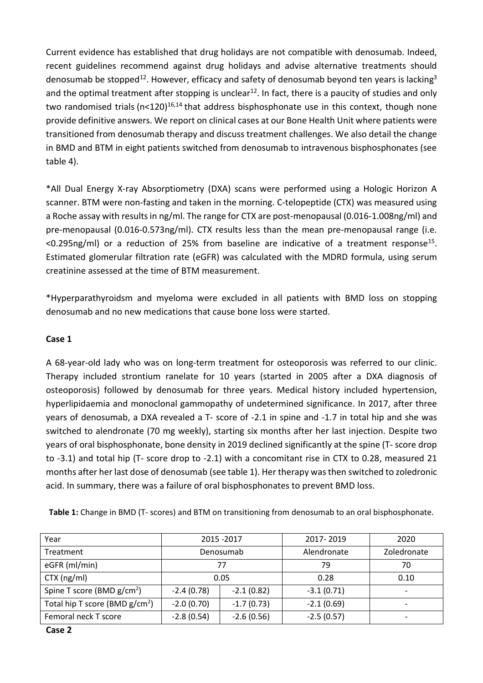Current evidence has established that drug holidays are not compatible with denosumab. Indeed, recent guidelines recommend against drug holidays and advise alternative treatments should denosumab be stopped $^{12}$ . However, efficacy and safety of denosumab beyond ten years is lacking $^3$ and the optimal treatment after stopping is unclear<sup>12</sup>. In fact, there is a paucity of studies and only two randomised trials ( $n<120$ )<sup>16,14</sup> that address bisphosphonate use in this context, though none provide definitive answers. We report on clinical cases at our Bone Health Unit where patients were transitioned from denosumab therapy and discuss treatment challenges. We also detail the change in BMD and BTM in eight patients switched from denosumab to intravenous bisphosphonates (see table 4).

\*All Dual Energy X-ray Absorptiometry (DXA) scans were performed using a Hologic Horizon A scanner. BTM were non-fasting and taken in the morning. C-telopeptide (CTX) was measured using a Roche assay with results in ng/ml. The range for CTX are post-menopausal (0.016-1.008ng/ml) and pre-menopausal (0.016-0.573ng/ml). CTX results less than the mean pre-menopausal range (i.e.  $<$ 0.295ng/ml) or a reduction of 25% from baseline are indicative of a treatment response<sup>15</sup>. Estimated glomerular filtration rate (eGFR) was calculated with the MDRD formula, using serum creatinine assessed at the time of BTM measurement.

\*Hyperparathyroidsm and myeloma were excluded in all patients with BMD loss on stopping denosumab and no new medications that cause bone loss were started.

# **Case 1**

A 68-year-old lady who was on long-term treatment for osteoporosis was referred to our clinic. Therapy included strontium ranelate for 10 years (started in 2005 after a DXA diagnosis of osteoporosis) followed by denosumab for three years. Medical history included hypertension, hyperlipidaemia and monoclonal gammopathy of undetermined significance. In 2017, after three years of denosumab, a DXA revealed a T- score of -2.1 in spine and -1.7 in total hip and she was switched to alendronate (70 mg weekly), starting six months after her last injection. Despite two years of oral bisphosphonate, bone density in 2019 declined significantly at the spine (T- score drop to -3.1) and total hip (T- score drop to -2.1) with a concomitant rise in CTX to 0.28, measured 21 months after her last dose of denosumab (see table 1). Her therapy was then switched to zoledronic acid. In summary, there was a failure of oral bisphosphonates to prevent BMD loss.

**Table 1:** Change in BMD (T- scores) and BTM on transitioning from denosumab to an oral bisphosphonate.

| Year                              |                              | 2015 - 2017  | 2017-2019    | 2020                     |
|-----------------------------------|------------------------------|--------------|--------------|--------------------------|
| Treatment                         |                              | Denosumab    | Alendronate  | Zoledronate              |
| eGFR (ml/min)                     |                              | 77           | 79           | 70                       |
| $CTX$ (ng/ml)                     |                              | 0.05         | 0.28         | 0.10                     |
| Spine T score (BMD $g/cm^2$ )     | $-2.4(0.78)$                 | $-2.1(0.82)$ | $-3.1(0.71)$ | $\overline{\phantom{0}}$ |
| Total hip T score (BMD $g/cm^2$ ) | $-2.0(0.70)$<br>$-1.7(0.73)$ |              | $-2.1(0.69)$ |                          |
| Femoral neck T score              | $-2.8(0.54)$                 | $-2.6(0.56)$ | $-2.5(0.57)$ |                          |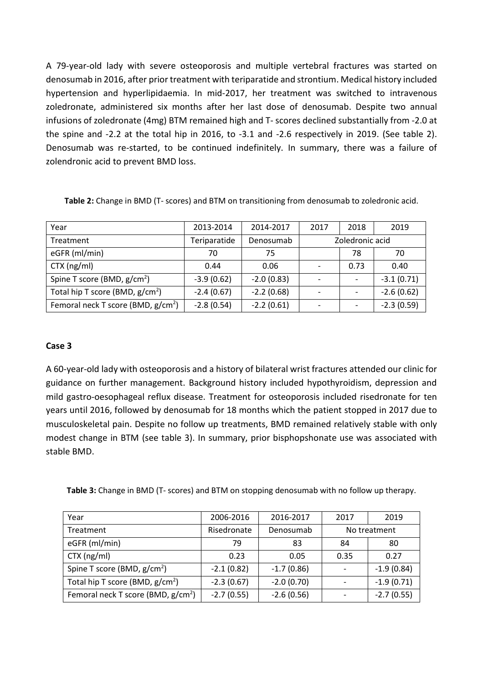A 79-year-old lady with severe osteoporosis and multiple vertebral fractures was started on denosumab in 2016, after prior treatment with teriparatide and strontium. Medical history included hypertension and hyperlipidaemia. In mid-2017, her treatment was switched to intravenous zoledronate, administered six months after her last dose of denosumab. Despite two annual infusions of zoledronate (4mg) BTM remained high and T- scores declined substantially from -2.0 at the spine and -2.2 at the total hip in 2016, to -3.1 and -2.6 respectively in 2019. (See table 2). Denosumab was re-started, to be continued indefinitely. In summary, there was a failure of zolendronic acid to prevent BMD loss.

|  | Table 2: Change in BMD (T- scores) and BTM on transitioning from denosumab to zoledronic acid. |  |
|--|------------------------------------------------------------------------------------------------|--|
|--|------------------------------------------------------------------------------------------------|--|

| Year                                           | 2013-2014    | 2014-2017    | 2017            | 2018 | 2019         |
|------------------------------------------------|--------------|--------------|-----------------|------|--------------|
| Treatment                                      | Teriparatide | Denosumab    | Zoledronic acid |      |              |
| eGFR (ml/min)                                  | 70           | 75           |                 | 78   |              |
| $CTX$ (ng/ml)                                  | 0.44         | 0.06         |                 | 0.73 | 0.40         |
| Spine T score (BMD, g/cm <sup>2</sup> )        | $-3.9(0.62)$ | $-2.0(0.83)$ |                 |      | $-3.1(0.71)$ |
| Total hip T score (BMD, $g/cm^2$ )             | $-2.4(0.67)$ | $-2.2(0.68)$ |                 |      | $-2.6(0.62)$ |
| Femoral neck T score (BMD, g/cm <sup>2</sup> ) | $-2.8(0.54)$ | $-2.2(0.61)$ |                 |      | $-2.3(0.59)$ |

# **Case 3**

A 60-year-old lady with osteoporosis and a history of bilateral wrist fractures attended our clinic for guidance on further management. Background history included hypothyroidism, depression and mild gastro-oesophageal reflux disease. Treatment for osteoporosis included risedronate for ten years until 2016, followed by denosumab for 18 months which the patient stopped in 2017 due to musculoskeletal pain. Despite no follow up treatments, BMD remained relatively stable with only modest change in BTM (see table 3). In summary, prior bisphopshonate use was associated with stable BMD.

| Table 3: Change in BMD (T- scores) and BTM on stopping denosumab with no follow up therapy. |  |
|---------------------------------------------------------------------------------------------|--|
|---------------------------------------------------------------------------------------------|--|

| Year                                  | 2006-2016    | 2016-2017    | 2017         | 2019         |
|---------------------------------------|--------------|--------------|--------------|--------------|
| Treatment                             | Risedronate  | Denosumab    | No treatment |              |
| eGFR (ml/min)                         | 79           | 83           | 84           | 80           |
| $CTX$ (ng/ml)                         | 0.23         | 0.05         | 0.35         | 0.27         |
| Spine T score (BMD, $g/cm^2$ )        | $-2.1(0.82)$ | $-1.7(0.86)$ |              | $-1.9(0.84)$ |
| Total hip T score (BMD, $g/cm^2$ )    | $-2.3(0.67)$ | $-2.0(0.70)$ |              | $-1.9(0.71)$ |
| Femoral neck T score (BMD, $g/cm^2$ ) | $-2.7(0.55)$ | $-2.6(0.56)$ |              | $-2.7(0.55)$ |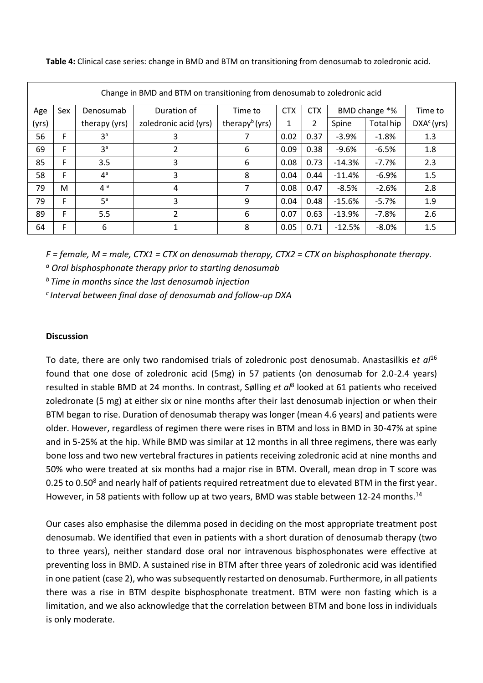| Change in BMD and BTM on transitioning from denosumab to zoledronic acid |     |                |                          |                            |            |            |               |           |                        |
|--------------------------------------------------------------------------|-----|----------------|--------------------------|----------------------------|------------|------------|---------------|-----------|------------------------|
| Age                                                                      | Sex | Denosumab      | Duration of              | Time to                    | <b>CTX</b> | <b>CTX</b> | BMD change *% |           | Time to                |
| (yrs)                                                                    |     | therapy (yrs)  | zoledronic acid (yrs)    | therapy <sup>b</sup> (yrs) | 1          | 2          | Spine         | Total hip | DXA <sup>c</sup> (yrs) |
| 56                                                                       | F   | 3 <sup>a</sup> | 3                        | 7                          | 0.02       | 0.37       | $-3.9%$       | $-1.8%$   | 1.3                    |
| 69                                                                       | F   | 3 <sup>a</sup> | $\mathcal{P}$            | 6                          | 0.09       | 0.38       | $-9.6%$       | $-6.5%$   | 1.8                    |
| 85                                                                       | F   | 3.5            | 3                        | 6                          | 0.08       | 0.73       | $-14.3%$      | $-7.7%$   | 2.3                    |
| 58                                                                       | F   | $4^a$          | 3                        | 8                          | 0.04       | 0.44       | $-11.4%$      | $-6.9%$   | 1.5                    |
| 79                                                                       | м   | 4a             | 4                        | 7                          | 0.08       | 0.47       | $-8.5%$       | $-2.6%$   | 2.8                    |
| 79                                                                       | F   | 5 <sup>a</sup> | 3                        | 9                          | 0.04       | 0.48       | $-15.6%$      | $-5.7%$   | 1.9                    |
| 89                                                                       | F   | 5.5            | $\overline{\mathcal{L}}$ | 6                          | 0.07       | 0.63       | $-13.9%$      | $-7.8%$   | 2.6                    |
| 64                                                                       | F   | 6              | 1                        | 8                          | 0.05       | 0.71       | $-12.5%$      | $-8.0%$   | 1.5                    |

**Table 4:** Clinical case series: change in BMD and BTM on transitioning from denosumab to zoledronic acid.

*F = female, M = male, CTX1 = CTX on denosumab therapy, CTX2 = CTX on bisphosphonate therapy.* 

*a Oral bisphosphonate therapy prior to starting denosumab* 

*<sup>b</sup>Time in months since the last denosumab injection* 

*<sup>c</sup>Interval between final dose of denosumab and follow-up DXA* 

#### **Discussion**

To date, there are only two randomised trials of zoledronic post denosumab. Anastasilkis e*t al*<sup>16</sup> found that one dose of zoledronic acid (5mg) in 57 patients (on denosumab for 2.0-2.4 years) resulted in stable BMD at 24 months. In contrast, Sølling *et al*<sup>8</sup> looked at 61 patients who received zoledronate (5 mg) at either six or nine months after their last denosumab injection or when their BTM began to rise. Duration of denosumab therapy was longer (mean 4.6 years) and patients were older. However, regardless of regimen there were rises in BTM and loss in BMD in 30-47% at spine and in 5-25% at the hip. While BMD was similar at 12 months in all three regimens, there was early bone loss and two new vertebral fractures in patients receiving zoledronic acid at nine months and 50% who were treated at six months had a major rise in BTM. Overall, mean drop in T score was 0.25 to 0.50<sup>8</sup> and nearly half of patients required retreatment due to elevated BTM in the first year. However, in 58 patients with follow up at two years, BMD was stable between 12-24 months.<sup>14</sup>

Our cases also emphasise the dilemma posed in deciding on the most appropriate treatment post denosumab. We identified that even in patients with a short duration of denosumab therapy (two to three years), neither standard dose oral nor intravenous bisphosphonates were effective at preventing loss in BMD. A sustained rise in BTM after three years of zoledronic acid was identified in one patient (case 2), who was subsequently restarted on denosumab. Furthermore, in all patients there was a rise in BTM despite bisphosphonate treatment. BTM were non fasting which is a limitation, and we also acknowledge that the correlation between BTM and bone loss in individuals is only moderate.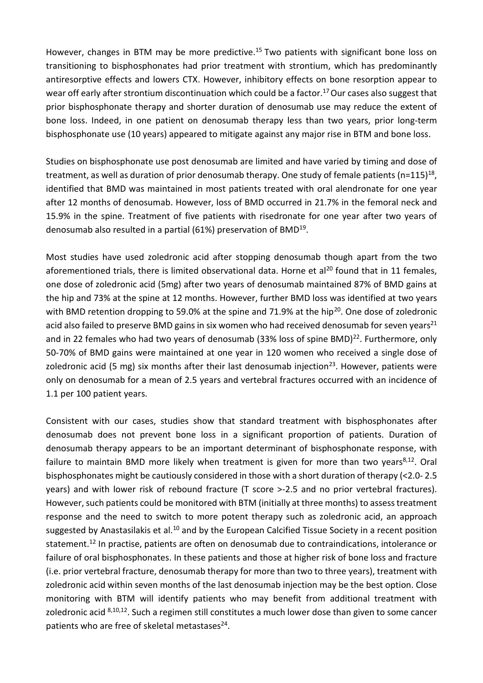However, changes in BTM may be more predictive.<sup>15</sup> Two patients with significant bone loss on transitioning to bisphosphonates had prior treatment with strontium, which has predominantly antiresorptive effects and lowers CTX. However, inhibitory effects on bone resorption appear to wear off early after strontium discontinuation which could be a factor.<sup>17</sup> Our cases also suggest that prior bisphosphonate therapy and shorter duration of denosumab use may reduce the extent of bone loss. Indeed, in one patient on denosumab therapy less than two years, prior long-term bisphosphonate use (10 years) appeared to mitigate against any major rise in BTM and bone loss.

Studies on bisphosphonate use post denosumab are limited and have varied by timing and dose of treatment, as well as duration of prior denosumab therapy. One study of female patients (n=115)<sup>18</sup>, identified that BMD was maintained in most patients treated with oral alendronate for one year after 12 months of denosumab. However, loss of BMD occurred in 21.7% in the femoral neck and 15.9% in the spine. Treatment of five patients with risedronate for one year after two years of denosumab also resulted in a partial (61%) preservation of BMD<sup>19</sup>.

Most studies have used zoledronic acid after stopping denosumab though apart from the two aforementioned trials, there is limited observational data. Horne et al<sup>20</sup> found that in 11 females, one dose of zoledronic acid (5mg) after two years of denosumab maintained 87% of BMD gains at the hip and 73% at the spine at 12 months. However, further BMD loss was identified at two years with BMD retention dropping to 59.0% at the spine and 71.9% at the hip<sup>20</sup>. One dose of zoledronic acid also failed to preserve BMD gains in six women who had received denosumab for seven years<sup>21</sup> and in 22 females who had two years of denosumab (33% loss of spine BMD)<sup>22</sup>. Furthermore, only 50-70% of BMD gains were maintained at one year in 120 women who received a single dose of zoledronic acid (5 mg) six months after their last denosumab injection<sup>23</sup>. However, patients were only on denosumab for a mean of 2.5 years and vertebral fractures occurred with an incidence of 1.1 per 100 patient years.

Consistent with our cases, studies show that standard treatment with bisphosphonates after denosumab does not prevent bone loss in a significant proportion of patients. Duration of denosumab therapy appears to be an important determinant of bisphosphonate response, with failure to maintain BMD more likely when treatment is given for more than two years $8,12$ . Oral bisphosphonates might be cautiously considered in those with a short duration of therapy (<2.0- 2.5 years) and with lower risk of rebound fracture (T score >-2.5 and no prior vertebral fractures). However, such patients could be monitored with BTM (initially at three months) to assess treatment response and the need to switch to more potent therapy such as zoledronic acid, an approach suggested by Anastasilakis et al.<sup>10</sup> and by the European Calcified Tissue Society in a recent position statement.<sup>12</sup> In practise, patients are often on denosumab due to contraindications, intolerance or failure of oral bisphosphonates. In these patients and those at higher risk of bone loss and fracture (i.e. prior vertebral fracture, denosumab therapy for more than two to three years), treatment with zoledronic acid within seven months of the last denosumab injection may be the best option. Close monitoring with BTM will identify patients who may benefit from additional treatment with zoledronic acid <sup>8,10,12</sup>. Such a regimen still constitutes a much lower dose than given to some cancer patients who are free of skeletal metastases $^{24}$ .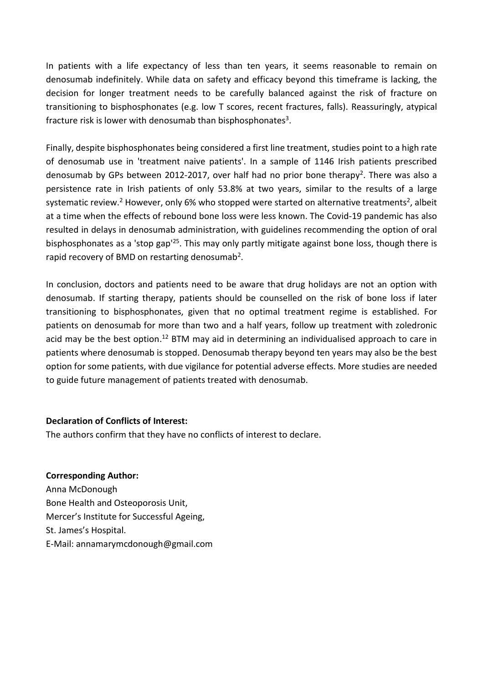In patients with a life expectancy of less than ten years, it seems reasonable to remain on denosumab indefinitely. While data on safety and efficacy beyond this timeframe is lacking, the decision for longer treatment needs to be carefully balanced against the risk of fracture on transitioning to bisphosphonates (e.g. low T scores, recent fractures, falls). Reassuringly, atypical fracture risk is lower with denosumab than bisphosphonates<sup>3</sup>.

Finally, despite bisphosphonates being considered a first line treatment, studies point to a high rate of denosumab use in 'treatment naive patients'. In a sample of 1146 Irish patients prescribed denosumab by GPs between 2012-2017, over half had no prior bone therapy<sup>2</sup>. There was also a persistence rate in Irish patients of only 53.8% at two years, similar to the results of a large systematic review.<sup>2</sup> However, only 6% who stopped were started on alternative treatments<sup>2</sup>, albeit at a time when the effects of rebound bone loss were less known. The Covid-19 pandemic has also resulted in delays in denosumab administration, with guidelines recommending the option of oral bisphosphonates as a 'stop gap'<sup>25</sup>. This may only partly mitigate against bone loss, though there is rapid recovery of BMD on restarting denosumab<sup>2</sup>.

In conclusion, doctors and patients need to be aware that drug holidays are not an option with denosumab. If starting therapy, patients should be counselled on the risk of bone loss if later transitioning to bisphosphonates, given that no optimal treatment regime is established. For patients on denosumab for more than two and a half years, follow up treatment with zoledronic acid may be the best option.<sup>12</sup> BTM may aid in determining an individualised approach to care in patients where denosumab is stopped. Denosumab therapy beyond ten years may also be the best option for some patients, with due vigilance for potential adverse effects. More studies are needed to guide future management of patients treated with denosumab.

#### **Declaration of Conflicts of Interest:**

The authors confirm that they have no conflicts of interest to declare.

#### **Corresponding Author:**

Anna McDonough Bone Health and Osteoporosis Unit, Mercer's Institute for Successful Ageing, St. James's Hospital. E-Mail: annamarymcdonough@gmail.com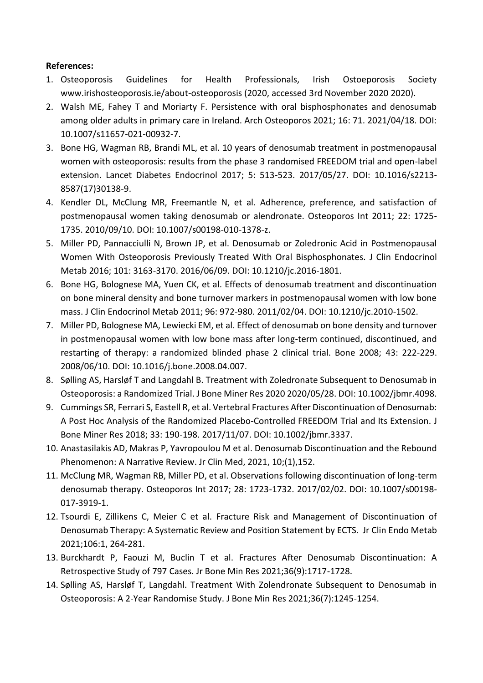# **References:**

- 1. Osteoporosis Guidelines for Health Professionals, Irish Ostoeporosis Society www.irishosteoporosis.ie/about-osteoporosis (2020, accessed 3rd November 2020 2020).
- 2. Walsh ME, Fahey T and Moriarty F. Persistence with oral bisphosphonates and denosumab among older adults in primary care in Ireland. Arch Osteoporos 2021; 16: 71. 2021/04/18. DOI: 10.1007/s11657-021-00932-7.
- 3. Bone HG, Wagman RB, Brandi ML, et al. 10 years of denosumab treatment in postmenopausal women with osteoporosis: results from the phase 3 randomised FREEDOM trial and open-label extension. Lancet Diabetes Endocrinol 2017; 5: 513-523. 2017/05/27. DOI: 10.1016/s2213- 8587(17)30138-9.
- 4. Kendler DL, McClung MR, Freemantle N, et al. Adherence, preference, and satisfaction of postmenopausal women taking denosumab or alendronate. Osteoporos Int 2011; 22: 1725- 1735. 2010/09/10. DOI: 10.1007/s00198-010-1378-z.
- 5. Miller PD, Pannacciulli N, Brown JP, et al. Denosumab or Zoledronic Acid in Postmenopausal Women With Osteoporosis Previously Treated With Oral Bisphosphonates. J Clin Endocrinol Metab 2016; 101: 3163-3170. 2016/06/09. DOI: 10.1210/jc.2016-1801.
- 6. Bone HG, Bolognese MA, Yuen CK, et al. Effects of denosumab treatment and discontinuation on bone mineral density and bone turnover markers in postmenopausal women with low bone mass. J Clin Endocrinol Metab 2011; 96: 972-980. 2011/02/04. DOI: 10.1210/jc.2010-1502.
- 7. Miller PD, Bolognese MA, Lewiecki EM, et al. Effect of denosumab on bone density and turnover in postmenopausal women with low bone mass after long-term continued, discontinued, and restarting of therapy: a randomized blinded phase 2 clinical trial. Bone 2008; 43: 222-229. 2008/06/10. DOI: 10.1016/j.bone.2008.04.007.
- 8. Sølling AS, Harsløf T and Langdahl B. Treatment with Zoledronate Subsequent to Denosumab in Osteoporosis: a Randomized Trial. J Bone Miner Res 2020 2020/05/28. DOI: 10.1002/jbmr.4098.
- 9. Cummings SR, Ferrari S, Eastell R, et al. Vertebral Fractures After Discontinuation of Denosumab: A Post Hoc Analysis of the Randomized Placebo-Controlled FREEDOM Trial and Its Extension. J Bone Miner Res 2018; 33: 190-198. 2017/11/07. DOI: 10.1002/jbmr.3337.
- 10. Anastasilakis AD, Makras P, Yavropoulou M et al. Denosumab Discontinuation and the Rebound Phenomenon: A Narrative Review. Jr Clin Med, 2021, 10;(1),152.
- 11. McClung MR, Wagman RB, Miller PD, et al. Observations following discontinuation of long-term denosumab therapy. Osteoporos Int 2017; 28: 1723-1732. 2017/02/02. DOI: 10.1007/s00198- 017-3919-1.
- 12. Tsourdi E, Zillikens C, Meier C et al. Fracture Risk and Management of Discontinuation of Denosumab Therapy: A Systematic Review and Position Statement by ECTS. Jr Clin Endo Metab 2021;106:1, 264-281.
- 13. Burckhardt P, Faouzi M, Buclin T et al. Fractures After Denosumab Discontinuation: A Retrospective Study of 797 Cases. Jr Bone Min Res 2021;36(9):1717-1728.
- 14. Sølling AS, Harsløf T, Langdahl. Treatment With Zolendronate Subsequent to Denosumab in Osteoporosis: A 2-Year Randomise Study. J Bone Min Res 2021;36(7):1245-1254.